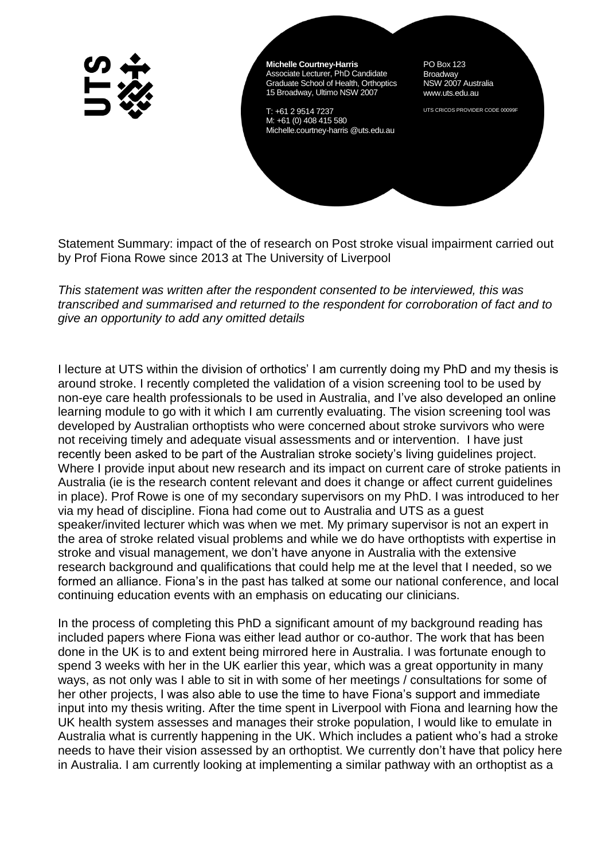**Michelle Courtney-Harris** Associate Lecturer, PhD Candidate Graduate School of Health, Orthoptics 15 Broadway, Ultimo NSW 2007

T: +61 2 9514 7237 M: +61 (0) 408 415 580 Michelle.courtney-harris @uts.edu.au

PO Box 123 **Broadway** NSW 2007 Australia www.uts.edu.au

UTS CRICOS PROVIDER CODE 00099F

Statement Summary: impact of the of research on Post stroke visual impairment carried out by Prof Fiona Rowe since 2013 at The University of Liverpool

*This statement was written after the respondent consented to be interviewed, this was transcribed and summarised and returned to the respondent for corroboration of fact and to give an opportunity to add any omitted details*

I lecture at UTS within the division of orthotics' I am currently doing my PhD and my thesis is around stroke. I recently completed the validation of a vision screening tool to be used by non-eye care health professionals to be used in Australia, and I've also developed an online learning module to go with it which I am currently evaluating. The vision screening tool was developed by Australian orthoptists who were concerned about stroke survivors who were not receiving timely and adequate visual assessments and or intervention. I have just recently been asked to be part of the Australian stroke society's living guidelines project. Where I provide input about new research and its impact on current care of stroke patients in Australia (ie is the research content relevant and does it change or affect current guidelines in place). Prof Rowe is one of my secondary supervisors on my PhD. I was introduced to her via my head of discipline. Fiona had come out to Australia and UTS as a guest speaker/invited lecturer which was when we met. My primary supervisor is not an expert in the area of stroke related visual problems and while we do have orthoptists with expertise in stroke and visual management, we don't have anyone in Australia with the extensive research background and qualifications that could help me at the level that I needed, so we formed an alliance. Fiona's in the past has talked at some our national conference, and local continuing education events with an emphasis on educating our clinicians.

In the process of completing this PhD a significant amount of my background reading has included papers where Fiona was either lead author or co-author. The work that has been done in the UK is to and extent being mirrored here in Australia. I was fortunate enough to spend 3 weeks with her in the UK earlier this year, which was a great opportunity in many ways, as not only was I able to sit in with some of her meetings / consultations for some of her other projects, I was also able to use the time to have Fiona's support and immediate input into my thesis writing. After the time spent in Liverpool with Fiona and learning how the UK health system assesses and manages their stroke population, I would like to emulate in Australia what is currently happening in the UK. Which includes a patient who's had a stroke needs to have their vision assessed by an orthoptist. We currently don't have that policy here in Australia. I am currently looking at implementing a similar pathway with an orthoptist as a